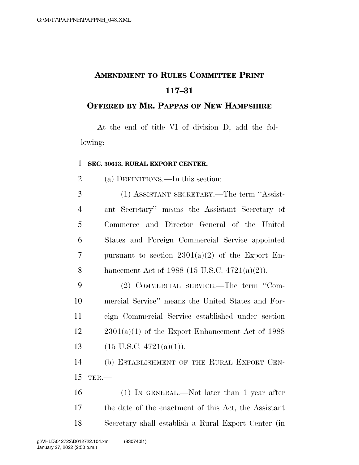## **AMENDMENT TO RULES COMMITTEE PRINT 117–31**

## **OFFERED BY MR. PAPPAS OF NEW HAMPSHIRE**

At the end of title VI of division D, add the following:

## 1 **SEC. 30613. RURAL EXPORT CENTER.**

2 (a) DEFINITIONS.—In this section:

 (1) ASSISTANT SECRETARY.—The term ''Assist- ant Secretary'' means the Assistant Secretary of Commerce and Director General of the United States and Foreign Commercial Service appointed 7 pursuant to section  $2301(a)(2)$  of the Export En-hancement Act of 1988 (15 U.S.C. 4721(a)(2)).

9 (2) COMMERCIAL SERVICE.—The term ''Com-10 mercial Service'' means the United States and For-11 eign Commercial Service established under section  $12 \qquad 2301(a)(1)$  of the Export Enhancement Act of 1988 13 (15 U.S.C.  $4721(a)(1)$ ).

14 (b) ESTABLISHMENT OF THE RURAL EXPORT CEN-15 TER.—

16 (1) IN GENERAL.—Not later than 1 year after 17 the date of the enactment of this Act, the Assistant 18 Secretary shall establish a Rural Export Center (in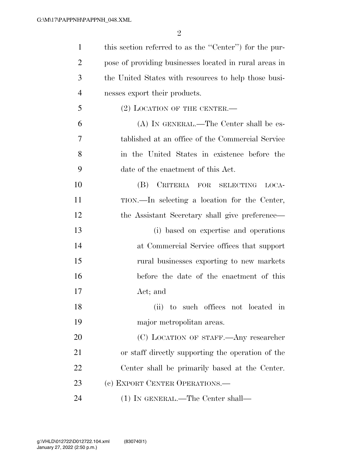| $\mathbf{1}$   | this section referred to as the "Center" for the pur-  |
|----------------|--------------------------------------------------------|
| $\overline{2}$ | pose of providing businesses located in rural areas in |
| 3              | the United States with resources to help those busi-   |
| $\overline{4}$ | nesses export their products.                          |
| 5              | $(2)$ LOCATION OF THE CENTER.—                         |
| 6              | $(A)$ IN GENERAL.—The Center shall be es-              |
| 7              | tablished at an office of the Commercial Service       |
| 8              | in the United States in existence before the           |
| 9              | date of the enactment of this Act.                     |
| 10             | CRITERIA FOR SELECTING<br>(B)<br>LOCA-                 |
| 11             | TION.—In selecting a location for the Center,          |
| 12             | the Assistant Secretary shall give preference—         |
| 13             | (i) based on expertise and operations                  |
| 14             | at Commercial Service offices that support             |
| 15             | rural businesses exporting to new markets              |
| 16             | before the date of the enactment of this               |
| 17             | Act; and                                               |
| 18             | (ii) to such offices not located i<br>in               |
| 19             | major metropolitan areas.                              |
| 20             | (C) LOCATION OF STAFF.—Any researcher                  |
| 21             | or staff directly supporting the operation of the      |
| 22             | Center shall be primarily based at the Center.         |
| 23             | (c) EXPORT CENTER OPERATIONS.—                         |
| 24             | $(1)$ In GENERAL.—The Center shall—                    |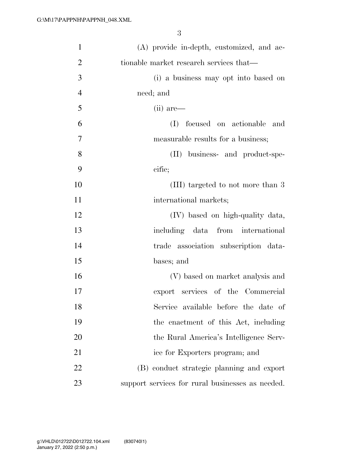| $\mathbf{1}$   | (A) provide in-depth, customized, and ac-        |
|----------------|--------------------------------------------------|
| $\overline{2}$ | tionable market research services that—          |
| 3              | (i) a business may opt into based on             |
| $\overline{4}$ | need; and                                        |
| 5              | (ii) are—                                        |
| 6              | focused on actionable<br>(I)<br>and              |
| 7              | measurable results for a business;               |
| 8              | (II) business- and product-spe-                  |
| 9              | cific;                                           |
| 10             | (III) targeted to not more than 3                |
| 11             | international markets;                           |
| 12             | (IV) based on high-quality data,                 |
| 13             | including data from international                |
| 14             | trade association subscription data-             |
| 15             | bases; and                                       |
| 16             | (V) based on market analysis and                 |
| 17             | export services of the Commercial                |
| 18             | Service available before the date of             |
| 19             | the enactment of this Act, including             |
| 20             | the Rural America's Intelligence Serv-           |
| 21             | ice for Exporters program; and                   |
| 22             | (B) conduct strategic planning and export        |
| 23             | support services for rural businesses as needed. |